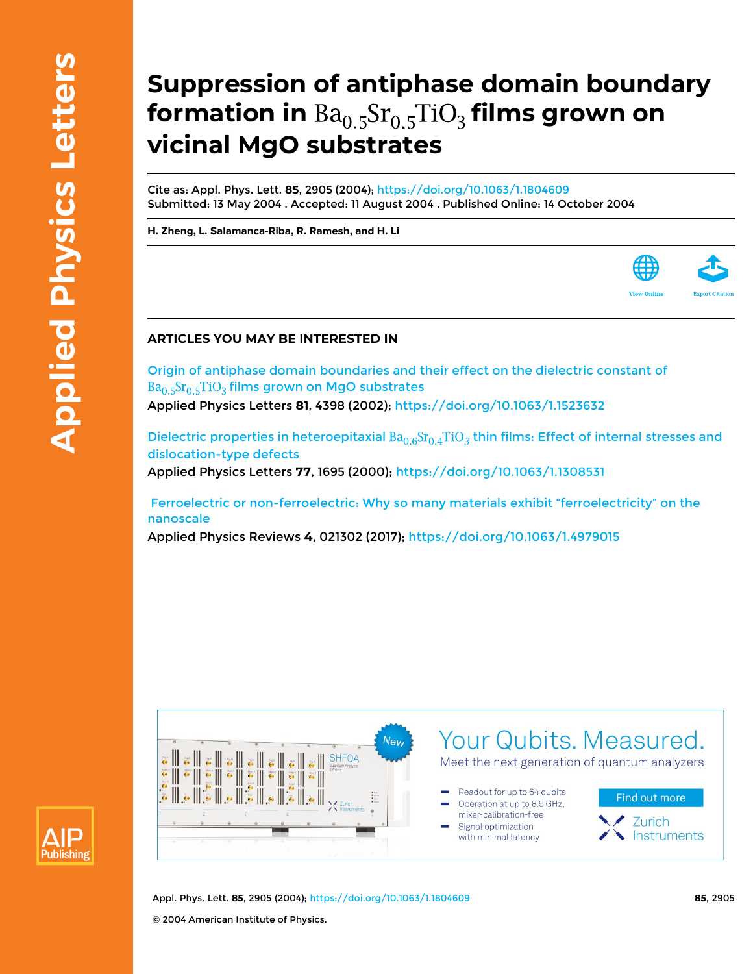## **Suppression of antiphase domain boundary formation in**  $Ba<sub>0.5</sub>Sr<sub>0.5</sub>TiO<sub>3</sub>$  films grown on **vicinal MgO substrates**

Cite as: Appl. Phys. Lett. **85**, 2905 (2004); <https://doi.org/10.1063/1.1804609> Submitted: 13 May 2004 . Accepted: 11 August 2004 . Published Online: 14 October 2004

**[H. Zheng](https://aip.scitation.org/author/Zheng%2C+H), [L. Salamanca-Riba,](https://aip.scitation.org/author/Salamanca-Riba%2C+L) [R. Ramesh](https://aip.scitation.org/author/Ramesh%2C+R), and [H. Li](https://aip.scitation.org/author/Li%2C+H)**



## **ARTICLES YOU MAY BE INTERESTED IN**

[Origin of antiphase domain boundaries and their effect on the dielectric constant of](https://aip.scitation.org/doi/10.1063/1.1523632)  $Ba<sub>0.5</sub>Sr<sub>0.5</sub>TiO<sub>3</sub>$  [films grown on MgO substrates](https://aip.scitation.org/doi/10.1063/1.1523632)

Applied Physics Letters **81**, 4398 (2002);<https://doi.org/10.1063/1.1523632>

Dielectric properties in heteroepitaxial  $Ba_{0.6}Sr_{0.4}TiO_3$  thin films: Effect of internal stresses and [dislocation-type defects](https://aip.scitation.org/doi/10.1063/1.1308531) Applied Physics Letters **77**, 1695 (2000);<https://doi.org/10.1063/1.1308531>

 [Ferroelectric or non-ferroelectric: Why so many materials exhibit "ferroelectricity" on the](https://aip.scitation.org/doi/10.1063/1.4979015) [nanoscale](https://aip.scitation.org/doi/10.1063/1.4979015)

Applied Physics Reviews **4**, 021302 (2017);<https://doi.org/10.1063/1.4979015>





Appl. Phys. Lett. **85**, 2905 (2004); <https://doi.org/10.1063/1.1804609> **85**, 2905 © 2004 American Institute of Physics.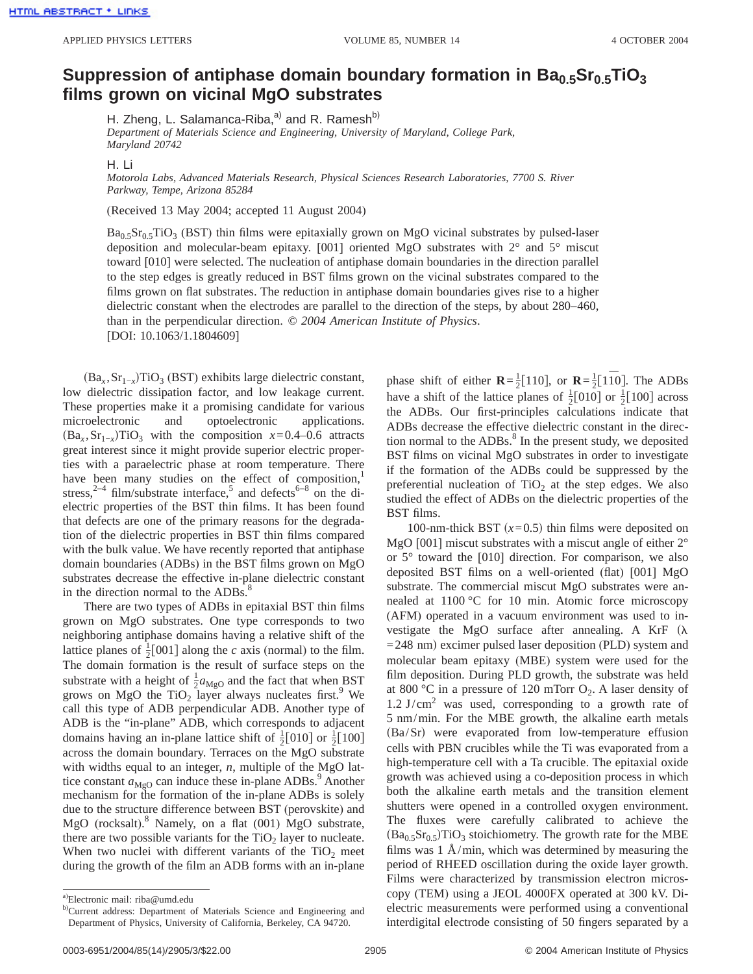## Suppression of antiphase domain boundary formation in Ba<sub>0.5</sub>Sr<sub>0.5</sub>TiO<sub>3</sub> **films grown on vicinal MgO substrates**

H. Zheng, L. Salamanca-Riba, $a^{(i)}$  and R. Ramesh<sup>b)</sup>

*Department of Materials Science and Engineering, University of Maryland, College Park, Maryland 20742*

## H. Li

*Motorola Labs, Advanced Materials Research, Physical Sciences Research Laboratories, 7700 S. River Parkway, Tempe, Arizona 85284*

(Received 13 May 2004; accepted 11 August 2004)

 $Ba<sub>0.5</sub>Sr<sub>0.5</sub>TiO<sub>3</sub>$  (BST) thin films were epitaxially grown on MgO vicinal substrates by pulsed-laser deposition and molecular-beam epitaxy. [001] oriented MgO substrates with 2° and 5° miscut toward [010] were selected. The nucleation of antiphase domain boundaries in the direction parallel to the step edges is greatly reduced in BST films grown on the vicinal substrates compared to the films grown on flat substrates. The reduction in antiphase domain boundaries gives rise to a higher dielectric constant when the electrodes are parallel to the direction of the steps, by about 280–460, than in the perpendicular direction. © *2004 American Institute of Physics*. [DOI: 10.1063/1.1804609]

 $(Ba<sub>x</sub>, Sr<sub>1-x</sub>)TiO<sub>3</sub> (BST) exhibits large dielectric constant,$ low dielectric dissipation factor, and low leakage current. These properties make it a promising candidate for various microelectronic and optoelectronic applications.  $(Ba<sub>x</sub>, Sr<sub>1-x</sub>)TiO<sub>3</sub>$  with the composition *x*=0.4–0.6 attracts great interest since it might provide superior electric properties with a paraelectric phase at room temperature. There have been many studies on the effect of composition, stress,<sup>2–4</sup> film/substrate interface,<sup>5</sup> and defects<sup>6–8</sup> on the dielectric properties of the BST thin films. It has been found that defects are one of the primary reasons for the degradation of the dielectric properties in BST thin films compared with the bulk value. We have recently reported that antiphase domain boundaries (ADBs) in the BST films grown on MgO substrates decrease the effective in-plane dielectric constant in the direction normal to the ADBs.<sup>8</sup>

There are two types of ADBs in epitaxial BST thin films grown on MgO substrates. One type corresponds to two neighboring antiphase domains having a relative shift of the lattice planes of  $\frac{1}{2}$ [001] along the *c* axis (normal) to the film. The domain formation is the result of surface steps on the substrate with a height of  $\frac{1}{2} a_{\text{MgO}}$  and the fact that when BST grows on MgO the  $TiO<sub>2</sub>$  layer always nucleates first.<sup>9</sup> We call this type of ADB perpendicular ADB. Another type of ADB is the "in-plane" ADB, which corresponds to adjacent domains having an in-plane lattice shift of  $\frac{1}{2}$ [010] or  $\frac{1}{2}$ [100] across the domain boundary. Terraces on the MgO substrate with widths equal to an integer, *n*, multiple of the MgO lattice constant  $a_{\text{MeO}}$  can induce these in-plane ADBs.<sup>9</sup> Another mechanism for the formation of the in-plane ADBs is solely due to the structure difference between BST (perovskite) and MgO (rocksalt). <sup>8</sup> Namely, on a flat (001) MgO substrate, there are two possible variants for the  $TiO<sub>2</sub>$  layer to nucleate. When two nuclei with different variants of the  $TiO<sub>2</sub>$  meet during the growth of the film an ADB forms with an in-plane

phase shift of either  $\mathbf{R} = \frac{1}{2} [110]$ , or  $\mathbf{R} = \frac{1}{2} [1\overline{1}0]$ . The ADBs have a shift of the lattice planes of  $\frac{1}{2}$ [010] or  $\frac{1}{2}$ [100] across the ADBs. Our first-principles calculations indicate that ADBs decrease the effective dielectric constant in the direction normal to the  $ADBs$ .<sup>8</sup> In the present study, we deposited BST films on vicinal MgO substrates in order to investigate if the formation of the ADBs could be suppressed by the preferential nucleation of  $TiO<sub>2</sub>$  at the step edges. We also studied the effect of ADBs on the dielectric properties of the BST films.

100-nm-thick BST  $(x=0.5)$  thin films were deposited on MgO [001] miscut substrates with a miscut angle of either  $2^{\circ}$ or 5° toward the [010] direction. For comparison, we also deposited BST films on a well-oriented (flat) [001] MgO substrate. The commercial miscut MgO substrates were annealed at 1100 °C for 10 min. Atomic force microscopy (AFM) operated in a vacuum environment was used to investigate the MgO surface after annealing. A KrF  $(\lambda)$  $=$  248 nm) excimer pulsed laser deposition (PLD) system and molecular beam epitaxy (MBE) system were used for the film deposition. During PLD growth, the substrate was held at 800 °C in a pressure of 120 mTorr  $O_2$ . A laser density of  $1.2$  J/cm<sup>2</sup> was used, corresponding to a growth rate of 5 nm/min. For the MBE growth, the alkaline earth metals  $(Ba/Sr)$  were evaporated from low-temperature effusion cells with PBN crucibles while the Ti was evaporated from a high-temperature cell with a Ta crucible. The epitaxial oxide growth was achieved using a co-deposition process in which both the alkaline earth metals and the transition element shutters were opened in a controlled oxygen environment. The fluxes were carefully calibrated to achieve the  $(Ba_{0.5}Sr_{0.5})TiO<sub>3</sub>$  stoichiometry. The growth rate for the MBE films was  $1 \text{ Å/min}$ , which was determined by measuring the period of RHEED oscillation during the oxide layer growth. Films were characterized by transmission electron microscopy (TEM) using a JEOL 4000FX operated at 300 kV. Dielectric measurements were performed using a conventional interdigital electrode consisting of 50 fingers separated by a

a) Electronic mail: riba@umd.edu

b)Current address: Department of Materials Science and Engineering and Department of Physics, University of California, Berkeley, CA 94720.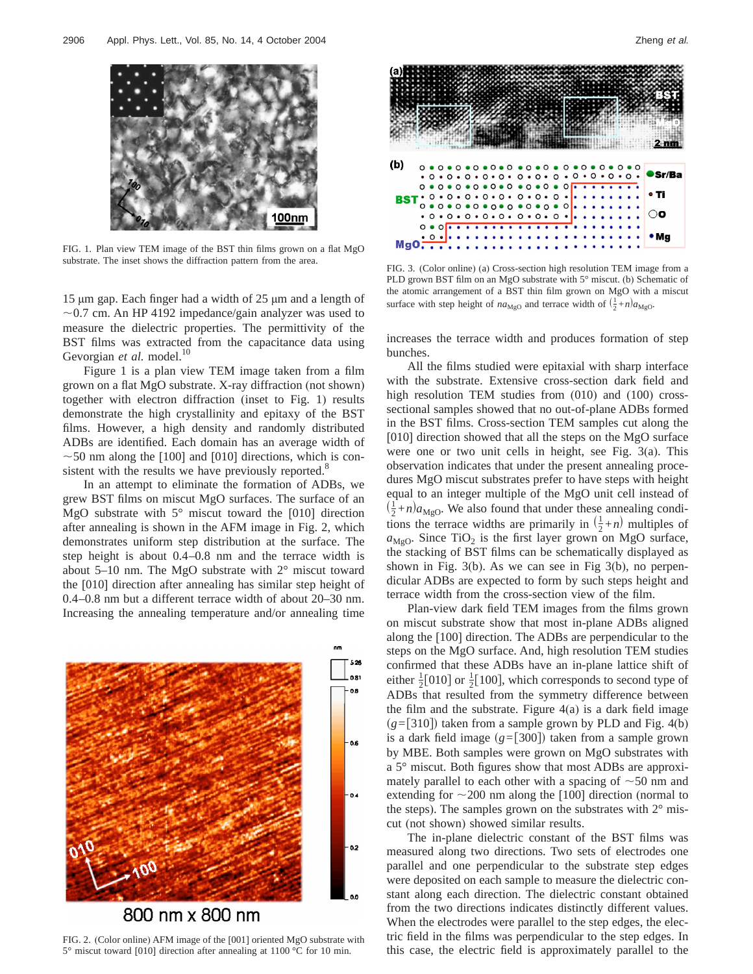

FIG. 1. Plan view TEM image of the BST thin films grown on a flat MgO substrate. The inset shows the diffraction pattern from the area.

15 µm gap. Each finger had a width of 25 µm and a length of  $\sim$ 0.7 cm. An HP 4192 impedance/gain analyzer was used to measure the dielectric properties. The permittivity of the BST films was extracted from the capacitance data using Gevorgian et al. model.<sup>10</sup>

Figure 1 is a plan view TEM image taken from a film grown on a flat MgO substrate. X-ray diffraction (not shown) together with electron diffraction (inset to Fig. 1) results demonstrate the high crystallinity and epitaxy of the BST films. However, a high density and randomly distributed ADBs are identified. Each domain has an average width of  $\sim$  50 nm along the [100] and [010] directions, which is consistent with the results we have previously reported.<sup>8</sup>

In an attempt to eliminate the formation of ADBs, we grew BST films on miscut MgO surfaces. The surface of an MgO substrate with  $5^\circ$  miscut toward the [010] direction after annealing is shown in the AFM image in Fig. 2, which demonstrates uniform step distribution at the surface. The step height is about 0.4–0.8 nm and the terrace width is about 5–10 nm. The MgO substrate with 2° miscut toward the [010] direction after annealing has similar step height of 0.4–0.8 nm but a different terrace width of about 20–30 nm. Increasing the annealing temperature and/or annealing time



FIG. 2. (Color online) AFM image of the [001] oriented MgO substrate with 5° miscut toward [010] direction after annealing at 1100 °C for 10 min.



FIG. 3. (Color online) (a) Cross-section high resolution TEM image from a PLD grown BST film on an MgO substrate with 5° miscut. (b) Schematic of the atomic arrangement of a BST thin film grown on MgO with a miscut surface with step height of  $na_{MgO}$  and terrace width of  $(\frac{1}{2} + n)a_{MgO}$ .

increases the terrace width and produces formation of step bunches.

All the films studied were epitaxial with sharp interface with the substrate. Extensive cross-section dark field and high resolution TEM studies from  $(010)$  and  $(100)$  crosssectional samples showed that no out-of-plane ADBs formed in the BST films. Cross-section TEM samples cut along the [010] direction showed that all the steps on the MgO surface were one or two unit cells in height, see Fig. 3(a). This observation indicates that under the present annealing procedures MgO miscut substrates prefer to have steps with height equal to an integer multiple of the MgO unit cell instead of  $\left(\frac{1}{2} + n\right)a_{\text{MgO}}$ . We also found that under these annealing conditions the terrace widths are primarily in  $(\frac{1}{2} + n)$  multiples of  $a_{\text{MgO}}$ . Since TiO<sub>2</sub> is the first layer grown on MgO surface, the stacking of BST films can be schematically displayed as shown in Fig. 3(b). As we can see in Fig 3(b), no perpendicular ADBs are expected to form by such steps height and terrace width from the cross-section view of the film.

Plan-view dark field TEM images from the films grown on miscut substrate show that most in-plane ADBs aligned along the [100] direction. The ADBs are perpendicular to the steps on the MgO surface. And, high resolution TEM studies confirmed that these ADBs have an in-plane lattice shift of either  $\frac{1}{2}$ [010] or  $\frac{1}{2}$ [100], which corresponds to second type of ADBs that resulted from the symmetry difference between the film and the substrate. Figure  $4(a)$  is a dark field image  $(g=[310])$  taken from a sample grown by PLD and Fig. 4(b) is a dark field image  $(g=[300])$  taken from a sample grown by MBE. Both samples were grown on MgO substrates with a 5° miscut. Both figures show that most ADBs are approximately parallel to each other with a spacing of  $\sim$ 50 nm and extending for  $\sim$ 200 nm along the [100] direction (normal to the steps). The samples grown on the substrates with  $2^{\circ}$  miscut (not shown) showed similar results.

The in-plane dielectric constant of the BST films was measured along two directions. Two sets of electrodes one parallel and one perpendicular to the substrate step edges were deposited on each sample to measure the dielectric constant along each direction. The dielectric constant obtained from the two directions indicates distinctly different values. When the electrodes were parallel to the step edges, the electric field in the films was perpendicular to the step edges. In this case, the electric field is approximately parallel to the